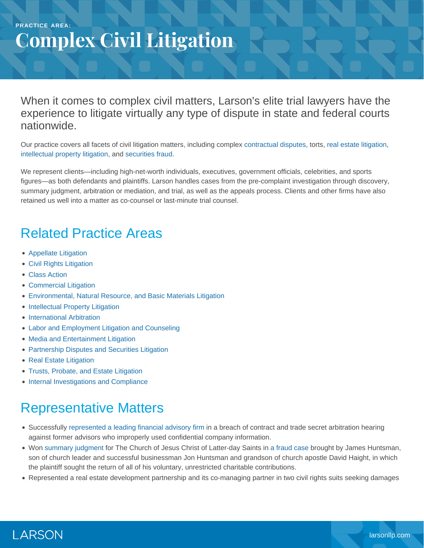#### **PRACTICE AREA: Complex Civil Litigation**

When it comes to complex civil matters, Larson's elite trial lawyers have the experience to litigate virtually any type of dispute in state and federal courts nationwide.

Our practice covers all facets of civil litigation matters, including complex [contractual disputes,](https://www.larsonllp.com/practice-areas/complex-civil-litigation/commercial-litigation/) torts, [real estate litigation,](https://www.larsonllp.com/practice-areas/complex-civil-litigation/real-estate-litigation/) [intellectual property litigation](https://www.larsonllp.com/practice-areas/complex-civil-litigation/intellectual-property-litigation/), and [securities fraud.](https://www.larsonllp.com/practice-areas/complex-civil-litigation/partnership-disputes-and-securities-litigation/)

We represent clients—including high-net-worth individuals, executives, government officials, celebrities, and sports figures—as both defendants and plaintiffs. Larson handles cases from the pre-complaint investigation through discovery, summary judgment, arbitration or mediation, and trial, as well as the appeals process. Clients and other firms have also retained us well into a matter as co-counsel or last-minute trial counsel.

## Related Practice Areas

- [Appellate Litigation](https://www.larsonllp.com/practice-areas/appellate-litigation/)
- [Civil Rights Litigation](https://www.larsonllp.com/practice-areas/complex-civil-litigation/civil-rights-litigation/)
- [Class Action](https://www.larsonllp.com/practice-areas/complex-civil-litigation/class-action/)
- [Commercial Litigation](https://www.larsonllp.com/practice-areas/complex-civil-litigation/commercial-litigation/)
- [Environmental, Natural Resource, and Basic Materials Litigation](https://www.larsonllp.com/practice-areas/complex-civil-litigation/environmental-natural-resource-and-basic-materials-litigation/)
- [Intellectual Property Litigation](https://www.larsonllp.com/practice-areas/complex-civil-litigation/intellectual-property-litigation/)
- [International Arbitration](https://www.larsonllp.com/practice-areas/complex-civil-litigation/international-arbitration/)
- [Labor and Employment Litigation and Counseling](https://www.larsonllp.com/practice-areas/complex-civil-litigation/labor-and-employment-litigation-and-counseling/)
- [Media and Entertainment Litigation](https://www.larsonllp.com/practice-areas/complex-civil-litigation/media-and-entertainment-litigation/)
- [Partnership Disputes and Securities Litigation](https://www.larsonllp.com/practice-areas/complex-civil-litigation/partnership-disputes-and-securities-litigation/)
- [Real Estate Litigation](https://www.larsonllp.com/practice-areas/complex-civil-litigation/real-estate-litigation/)
- [Trusts, Probate, and Estate Litigation](https://www.larsonllp.com/practice-areas/complex-civil-litigation/trusts-probate-and-estate-litigation/)
- [Internal Investigations and Compliance](https://www.larsonllp.com/practice-areas/internal-investigations-and-compliance/)

# Representative Matters

- Successfully [represented a leading financial advisory firm](https://www.larsonllp.com/trial-court-confirms-arbitration-award-in-contract-dispute/) in a breach of contract and trade secret arbitration hearing against former advisors who improperly used confidential company information.
- Won [summary judgment](https://www.larsonllp.com/firm-wins-summary-judgment-for-lds-church/) for The Church of Jesus Christ of Latter-day Saints in [a fraud case](https://www.larsonllp.com/case-studies/lds-church-title-tbd/) brought by James Huntsman, son of church leader and successful businessman Jon Huntsman and grandson of church apostle David Haight, in which the plaintiff sought the return of all of his voluntary, unrestricted charitable contributions.
- Represented a real estate development partnership and its co-managing partner in two civil rights suits seeking damages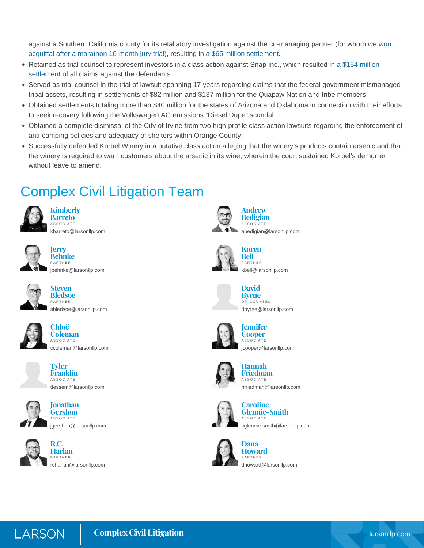against a Southern California county for its retaliatory investigation against the co-managing partner (for whom we [won](https://www.larsonllp.com/three-defendants-found-not-guilty-in-colonies-corruption-case/) [acquittal after a marathon 10-month jury trial](https://www.larsonllp.com/three-defendants-found-not-guilty-in-colonies-corruption-case/)), resulting in [a \\$65 million settlement](https://www.larsonllp.com/colonies-civil-rights-lawsuits-settle-for-65m/).

- Retained as trial counsel to represent investors in a class action against Snap Inc., which resulted in [a \\$154 million](https://www.larsonllp.com/snap-ipo-class-action-draws-to-a-triumphant-close/) [settlement](https://www.larsonllp.com/snap-ipo-class-action-draws-to-a-triumphant-close/) of all claims against the defendants.
- Served as trial counsel in the trial of lawsuit spanning 17 years regarding claims that the federal government mismanaged tribal assets, resulting in settlements of \$82 million and \$137 million for the Quapaw Nation and tribe members.
- Obtained settlements totaling more than \$40 million for the states of Arizona and Oklahoma in connection with their efforts to seek recovery following the Volkswagen AG emissions "Diesel Dupe" scandal.
- Obtained a complete dismissal of the City of Irvine from two high-profile class action lawsuits regarding the enforcement of anti-camping policies and adequacy of shelters within Orange County.
- Successfully defended Korbel Winery in a putative class action alleging that the winery's products contain arsenic and that the winery is required to warn customers about the arsenic in its wine, wherein the court sustained Korbel's demurrer without leave to amend.

### Complex Civil Litigation Team



**Kimberly Barreto**

ASSOCIATE [kbarreto@larsonllp.com](mailto:kbarreto@larsonllp.com)



**Jerry Behnke** PARTNER [jbehnke@larsonllp.com](mailto:jbehnke@larsonllp.com)



**Steven Bledsoe** PARTNER [sbledsoe@larsonllp.com](mailto:sbledsoe@larsonllp.com)







**Tyler Franklin** ASSOCIATE [ttessem@larsonllp.com](mailto:ttessem@larsonllp.com)



**Jonathan Gershon** ASSOCIATE [jgershon@larsonllp.com](mailto:jgershon@larsonllp.com)



**R.C. Harlan** PARTNER [rcharlan@larsonllp.com](mailto:rcharlan@larsonllp.com)



**Andrew Bedigian** ASSOCIATE [abedigian@larsonllp.com](mailto:abedigian@larsonllp.com)



**Bell** PARTNER [kbell@larsonllp.com](mailto:kbell@larsonllp.com)

**Koren**



**David Byrne** OF COUNSEL [dbyrne@larsonllp.com](mailto:dbyrne@larsonllp.com)



**Cooper ASSOCIATE** [jcooper@larsonllp.com](mailto:jcooper@larsonllp.com)



**Hannah Friedman** ASSOCIATE [hfriedman@larsonllp.com](mailto:hfriedman@larsonllp.com)



**Caroline Glennie-Smith** ASSOCIATE [cglennie-smith@larsonllp.com](mailto:cglennie-smith@larsonllp.com)



**Dana Howard** PARTNER [dhoward@larsonllp.com](mailto:dhoward@larsonllp.com)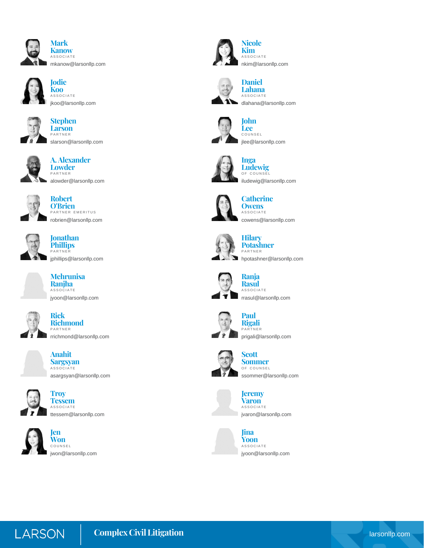



**Jodie Koo ASSOCIATE** [jkoo@larsonllp.com](mailto:jkoo@larsonllp.com)



**Stephen Larson** PARTNER [slarson@larsonllp.com](mailto:slarson@larsonllp.com)



**A. Alexander Lowder**





**Robert O'Brien** PARTNER EMERITUS [robrien@larsonllp.com](mailto:robrien@larsonllp.com)



**Jonathan Phillips** PARTNER [jphillips@larsonllp.com](mailto:jphillips@larsonllp.com)



**Mehrunisa Ranjha** ASSOCIATE [jyoon@larsonllp.com](mailto:jyoon@larsonllp.com)



**Rick Richmond** PARTNER [rrichmond@larsonllp.com](mailto:rrichmond@larsonllp.com)



**Anahit Sargsyan** ASSOCIATE [asargsyan@larsonllp.com](mailto:asargsyan@larsonllp.com)







**Troy**

[jwon@larsonllp.com](mailto:jwon@larsonllp.com)



**Nicole KimASSOCIATE** [nkim@larsonllp.com](mailto:nkim@larsonllp.com)



**Daniel Lahana** ASSOCIATE [dlahana@larsonllp.com](mailto:dlahana@larsonllp.com)





**Inga Ludewig** OF COUNSEL [iludewig@larsonllp.com](mailto:iludewig@larsonllp.com)



#### **Catherine Owens**

**ASSOCIATE** [cowens@larsonllp.com](mailto:cowens@larsonllp.com)



#### **Hilary Potashner**

PARTNER [hpotashner@larsonllp.com](mailto:hpotashner@larsonllp.com)



**Ranja Rasul** ASSOCIATE



**Paul Rigali** PARTNER [prigali@larsonllp.com](mailto:prigali@larsonllp.com)



**Scott Sommer** OF COUNSEL [ssommer@larsonllp.com](mailto:ssommer@larsonllp.com)



[jvaron@larsonllp.com](mailto:jvaron@larsonllp.com)